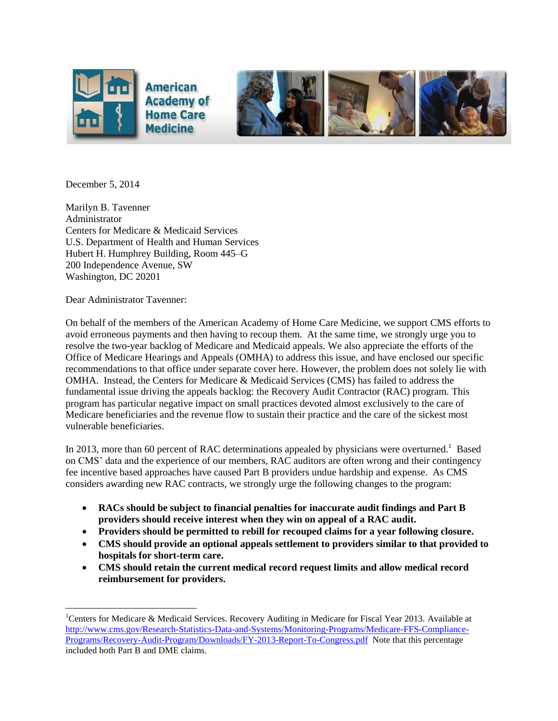



December 5, 2014

 $\overline{a}$ 

Marilyn B. Tavenner Administrator Centers for Medicare & Medicaid Services U.S. Department of Health and Human Services Hubert H. Humphrey Building, Room 445–G 200 Independence Avenue, SW Washington, DC 20201

Dear Administrator Tavenner:

On behalf of the members of the American Academy of Home Care Medicine, we support CMS efforts to avoid erroneous payments and then having to recoup them. At the same time, we strongly urge you to resolve the two-year backlog of Medicare and Medicaid appeals. We also appreciate the efforts of the Office of Medicare Hearings and Appeals (OMHA) to address this issue, and have enclosed our specific recommendations to that office under separate cover here. However, the problem does not solely lie with OMHA. Instead, the Centers for Medicare & Medicaid Services (CMS) has failed to address the fundamental issue driving the appeals backlog: the Recovery Audit Contractor (RAC) program. This program has particular negative impact on small practices devoted almost exclusively to the care of Medicare beneficiaries and the revenue flow to sustain their practice and the care of the sickest most vulnerable beneficiaries.

In 2013, more than 60 percent of RAC determinations appealed by physicians were overturned.<sup>1</sup> Based on CMS' data and the experience of our members, RAC auditors are often wrong and their contingency fee incentive based approaches have caused Part B providers undue hardship and expense. As CMS considers awarding new RAC contracts, we strongly urge the following changes to the program:

- **RACs should be subject to financial penalties for inaccurate audit findings and Part B providers should receive interest when they win on appeal of a RAC audit.**
- **Providers should be permitted to rebill for recouped claims for a year following closure.**
- **CMS should provide an optional appeals settlement to providers similar to that provided to hospitals for short-term care.**
- **CMS should retain the current medical record request limits and allow medical record reimbursement for providers.**

<sup>&</sup>lt;sup>1</sup>Centers for Medicare & Medicaid Services. Recovery Auditing in Medicare for Fiscal Year 2013. Available at [http://www.cms.gov/Research-Statistics-Data-and-Systems/Monitoring-Programs/Medicare-FFS-Compliance-](http://www.cms.gov/Research-Statistics-Data-and-Systems/Monitoring-Programs/Medicare-FFS-Compliance-Programs/Recovery-Audit-Program/Downloads/FY-2013-Report-To-Congress.pdf)[Programs/Recovery-Audit-Program/Downloads/FY-2013-Report-To-Congress.pdf](http://www.cms.gov/Research-Statistics-Data-and-Systems/Monitoring-Programs/Medicare-FFS-Compliance-Programs/Recovery-Audit-Program/Downloads/FY-2013-Report-To-Congress.pdf) Note that this percentage included both Part B and DME claims.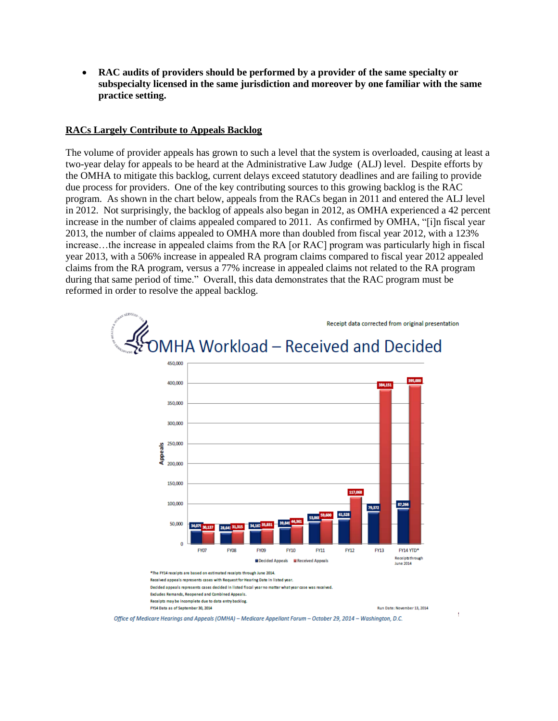**RAC audits of providers should be performed by a provider of the same specialty or subspecialty licensed in the same jurisdiction and moreover by one familiar with the same practice setting.** 

#### **RACs Largely Contribute to Appeals Backlog**

The volume of provider appeals has grown to such a level that the system is overloaded, causing at least a two-year delay for appeals to be heard at the Administrative Law Judge (ALJ) level. Despite efforts by the OMHA to mitigate this backlog, current delays exceed statutory deadlines and are failing to provide due process for providers. One of the key contributing sources to this growing backlog is the RAC program. As shown in the chart below, appeals from the RACs began in 2011 and entered the ALJ level in 2012. Not surprisingly, the backlog of appeals also began in 2012, as OMHA experienced a 42 percent increase in the number of claims appealed compared to 2011. As confirmed by OMHA, "[i]n fiscal year 2013, the number of claims appealed to OMHA more than doubled from fiscal year 2012, with a 123% increase…the increase in appealed claims from the RA [or RAC] program was particularly high in fiscal year 2013, with a 506% increase in appealed RA program claims compared to fiscal year 2012 appealed claims from the RA program, versus a 77% increase in appealed claims not related to the RA program during that same period of time." Overall, this data demonstrates that the RAC program must be reformed in order to resolve the appeal backlog.



Office of Medicare Hearinas and Appeals (OMHA) - Medicare Appellant Forum - October 29, 2014 - Washinaton, D.C.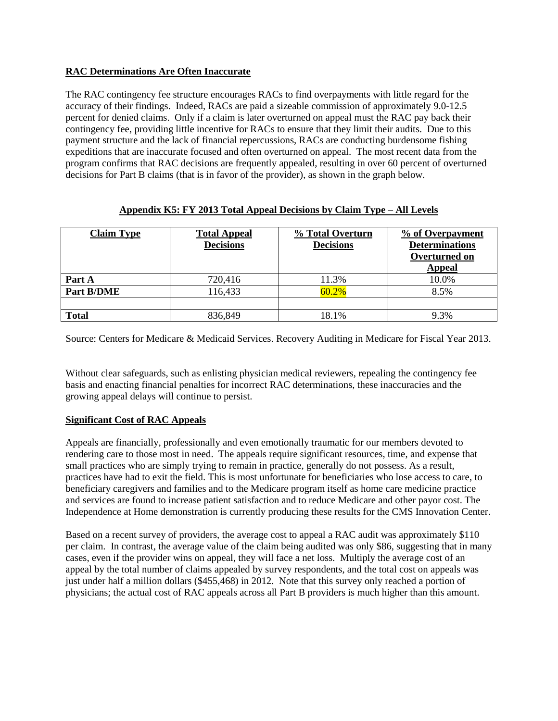# **RAC Determinations Are Often Inaccurate**

The RAC contingency fee structure encourages RACs to find overpayments with little regard for the accuracy of their findings. Indeed, RACs are paid a sizeable commission of approximately 9.0-12.5 percent for denied claims. Only if a claim is later overturned on appeal must the RAC pay back their contingency fee, providing little incentive for RACs to ensure that they limit their audits. Due to this payment structure and the lack of financial repercussions, RACs are conducting burdensome fishing expeditions that are inaccurate focused and often overturned on appeal. The most recent data from the program confirms that RAC decisions are frequently appealed, resulting in over 60 percent of overturned decisions for Part B claims (that is in favor of the provider), as shown in the graph below.

| <b>Claim Type</b> | <b>Total Appeal</b><br><b>Decisions</b> | % Total Overturn<br><b>Decisions</b> | % of Overpayment<br><b>Determinations</b><br>Overturned on<br>Appeal |
|-------------------|-----------------------------------------|--------------------------------------|----------------------------------------------------------------------|
| Part A            | 720,416                                 | 11.3%                                | 10.0%                                                                |
| Part B/DME        | 116,433                                 | 60.2%                                | 8.5%                                                                 |
|                   |                                         |                                      |                                                                      |
| <b>Total</b>      | 836,849                                 | 18.1%                                | 9.3%                                                                 |

## **Appendix K5: FY 2013 Total Appeal Decisions by Claim Type – All Levels**

Source: Centers for Medicare & Medicaid Services. Recovery Auditing in Medicare for Fiscal Year 2013.

Without clear safeguards, such as enlisting physician medical reviewers, repealing the contingency fee basis and enacting financial penalties for incorrect RAC determinations, these inaccuracies and the growing appeal delays will continue to persist.

### **Significant Cost of RAC Appeals**

Appeals are financially, professionally and even emotionally traumatic for our members devoted to rendering care to those most in need. The appeals require significant resources, time, and expense that small practices who are simply trying to remain in practice, generally do not possess. As a result, practices have had to exit the field. This is most unfortunate for beneficiaries who lose access to care, to beneficiary caregivers and families and to the Medicare program itself as home care medicine practice and services are found to increase patient satisfaction and to reduce Medicare and other payor cost. The Independence at Home demonstration is currently producing these results for the CMS Innovation Center.

Based on a recent survey of providers, the average cost to appeal a RAC audit was approximately \$110 per claim. In contrast, the average value of the claim being audited was only \$86, suggesting that in many cases, even if the provider wins on appeal, they will face a net loss. Multiply the average cost of an appeal by the total number of claims appealed by survey respondents, and the total cost on appeals was just under half a million dollars (\$455,468) in 2012. Note that this survey only reached a portion of physicians; the actual cost of RAC appeals across all Part B providers is much higher than this amount.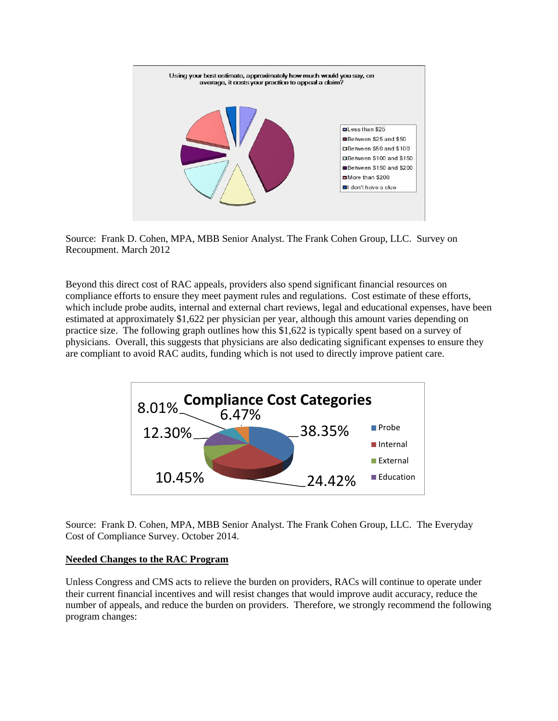

Source: Frank D. Cohen, MPA, MBB Senior Analyst. The Frank Cohen Group, LLC. Survey on Recoupment. March 2012

Beyond this direct cost of RAC appeals, providers also spend significant financial resources on compliance efforts to ensure they meet payment rules and regulations. Cost estimate of these efforts, which include probe audits, internal and external chart reviews, legal and educational expenses, have been estimated at approximately \$1,622 per physician per year, although this amount varies depending on practice size. The following graph outlines how this \$1,622 is typically spent based on a survey of physicians. Overall, this suggests that physicians are also dedicating significant expenses to ensure they are compliant to avoid RAC audits, funding which is not used to directly improve patient care.



Source: Frank D. Cohen, MPA, MBB Senior Analyst. The Frank Cohen Group, LLC. The Everyday Cost of Compliance Survey. October 2014.

#### **Needed Changes to the RAC Program**

Unless Congress and CMS acts to relieve the burden on providers, RACs will continue to operate under their current financial incentives and will resist changes that would improve audit accuracy, reduce the number of appeals, and reduce the burden on providers. Therefore, we strongly recommend the following program changes: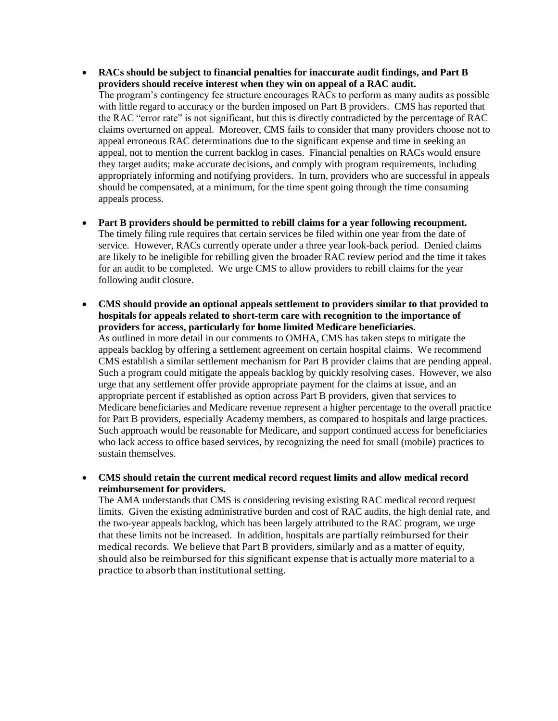- **RACs should be subject to financial penalties for inaccurate audit findings, and Part B providers should receive interest when they win on appeal of a RAC audit.**  The program's contingency fee structure encourages RACs to perform as many audits as possible with little regard to accuracy or the burden imposed on Part B providers. CMS has reported that the RAC "error rate" is not significant, but this is directly contradicted by the percentage of RAC claims overturned on appeal. Moreover, CMS fails to consider that many providers choose not to appeal erroneous RAC determinations due to the significant expense and time in seeking an appeal, not to mention the current backlog in cases. Financial penalties on RACs would ensure they target audits; make accurate decisions, and comply with program requirements, including appropriately informing and notifying providers. In turn, providers who are successful in appeals should be compensated, at a minimum, for the time spent going through the time consuming appeals process.
- **Part B providers should be permitted to rebill claims for a year following recoupment.** The timely filing rule requires that certain services be filed within one year from the date of service. However, RACs currently operate under a three year look-back period. Denied claims are likely to be ineligible for rebilling given the broader RAC review period and the time it takes for an audit to be completed. We urge CMS to allow providers to rebill claims for the year following audit closure.
- **CMS should provide an optional appeals settlement to providers similar to that provided to hospitals for appeals related to short-term care with recognition to the importance of providers for access, particularly for home limited Medicare beneficiaries.** As outlined in more detail in our comments to OMHA, CMS has taken steps to mitigate the appeals backlog by offering a settlement agreement on certain hospital claims. We recommend CMS establish a similar settlement mechanism for Part B provider claims that are pending appeal. Such a program could mitigate the appeals backlog by quickly resolving cases. However, we also urge that any settlement offer provide appropriate payment for the claims at issue, and an appropriate percent if established as option across Part B providers, given that services to Medicare beneficiaries and Medicare revenue represent a higher percentage to the overall practice for Part B providers, especially Academy members, as compared to hospitals and large practices. Such approach would be reasonable for Medicare, and support continued access for beneficiaries who lack access to office based services, by recognizing the need for small (mobile) practices to sustain themselves.

 **CMS should retain the current medical record request limits and allow medical record reimbursement for providers.** 

The AMA understands that CMS is considering revising existing RAC medical record request limits. Given the existing administrative burden and cost of RAC audits, the high denial rate, and the two-year appeals backlog, which has been largely attributed to the RAC program, we urge that these limits not be increased. In addition, hospitals are partially reimbursed for their medical records. We believe that Part B providers, similarly and as a matter of equity, should also be reimbursed for this significant expense that is actually more material to a practice to absorb than institutional setting.